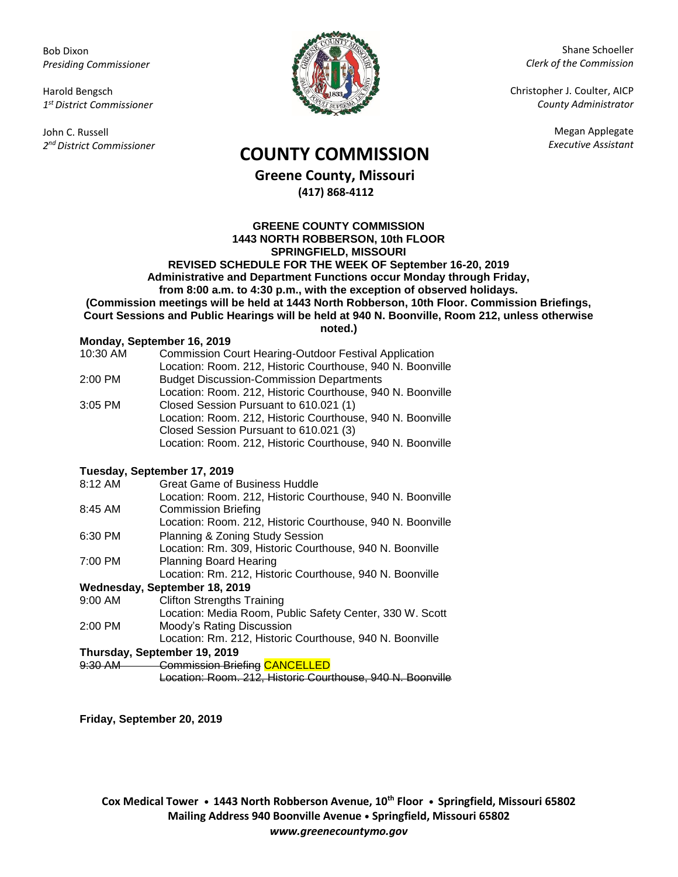Bob Dixon *Presiding Commissioner*

Harold Bengsch *1 st District Commissioner*

John C. Russell *2 nd District Commissioner*



Shane Schoeller *Clerk of the Commission*

Christopher J. Coulter, AICP *County Administrator*

Megan Applegate

## *Executive Assistant* **COUNTY COMMISSION**

**Greene County, Missouri (417) 868-4112**

**GREENE COUNTY COMMISSION 1443 NORTH ROBBERSON, 10th FLOOR SPRINGFIELD, MISSOURI REVISED SCHEDULE FOR THE WEEK OF September 16-20, 2019 Administrative and Department Functions occur Monday through Friday, from 8:00 a.m. to 4:30 p.m., with the exception of observed holidays. (Commission meetings will be held at 1443 North Robberson, 10th Floor. Commission Briefings, Court Sessions and Public Hearings will be held at 940 N. Boonville, Room 212, unless otherwise** 

## **noted.)**

| Monday, September 16, 2019 |                                                              |  |
|----------------------------|--------------------------------------------------------------|--|
| 10:30 AM                   | <b>Commission Court Hearing-Outdoor Festival Application</b> |  |
|                            | Location: Room. 212, Historic Courthouse, 940 N. Boonville   |  |
| 2:00 PM                    | <b>Budget Discussion-Commission Departments</b>              |  |
|                            | Location: Room. 212, Historic Courthouse, 940 N. Boonville   |  |
| $3:05$ PM                  | Closed Session Pursuant to 610.021 (1)                       |  |
|                            | Location: Room. 212, Historic Courthouse, 940 N. Boonville   |  |
|                            | Closed Session Pursuant to 610.021 (3)                       |  |
|                            | Location: Room. 212, Historic Courthouse, 940 N. Boonville   |  |
|                            |                                                              |  |

## **Tuesday, September 17, 2019**

| 8:12 AM   | <b>Great Game of Business Huddle</b>                       |
|-----------|------------------------------------------------------------|
|           | Location: Room. 212, Historic Courthouse, 940 N. Boonville |
| 8:45 AM   | <b>Commission Briefing</b>                                 |
|           | Location: Room. 212, Historic Courthouse, 940 N. Boonville |
| 6:30 PM   | Planning & Zoning Study Session                            |
|           | Location: Rm. 309, Historic Courthouse, 940 N. Boonville   |
| 7:00 PM   | <b>Planning Board Hearing</b>                              |
|           | Location: Rm. 212, Historic Courthouse, 940 N. Boonville   |
|           | Wednesday, September 18, 2019                              |
| $9:00$ AM | <b>Clifton Strengths Training</b>                          |
|           | Location: Media Room, Public Safety Center, 330 W. Scott   |
| $2:00$ PM | Moody's Rating Discussion                                  |
|           | Location: Rm. 212, Historic Courthouse, 940 N. Boonville   |
|           | Thursday, September 19, 2019                               |
| 9:30 AM   | Commission Briefing CANCELLED                              |
|           | Location: Room. 212, Historic Courthouse, 940 N. Boonville |

**Friday, September 20, 2019**

**Cox Medical Tower • 1443 North Robberson Avenue, 10th Floor • Springfield, Missouri 65802 Mailing Address 940 Boonville Avenue • Springfield, Missouri 65802** *www.greenecountymo.gov*